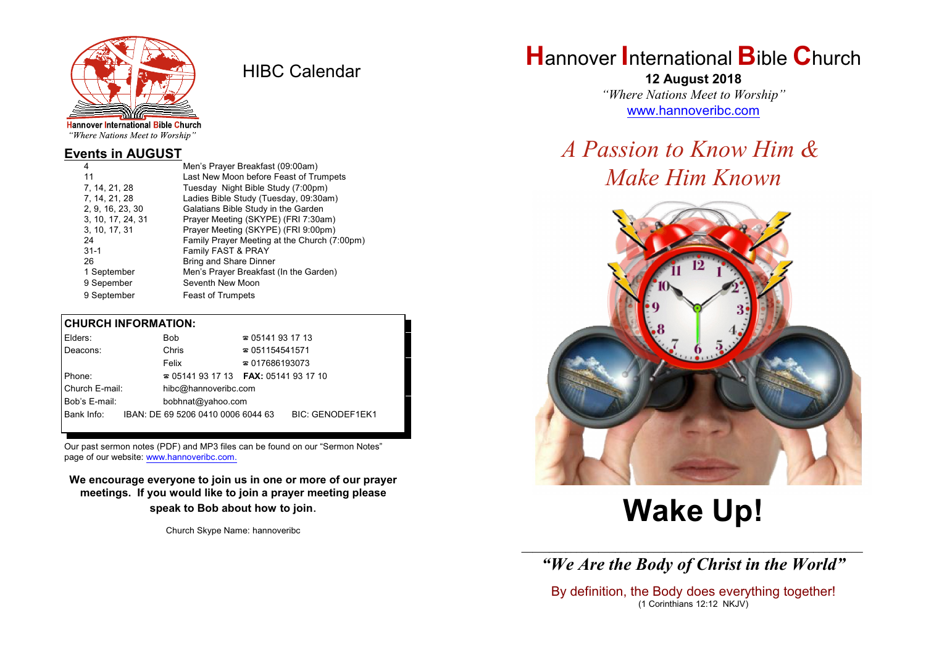

HIBC Calendar

"Where Nations Meet to Worship"

#### **Events in AUGUST**

| 4                 | Men's Prayer Breakfast (09:00am)             |
|-------------------|----------------------------------------------|
| 11                | Last New Moon before Feast of Trumpets       |
| 7, 14, 21, 28     | Tuesday Night Bible Study (7:00pm)           |
| 7, 14, 21, 28     | Ladies Bible Study (Tuesday, 09:30am)        |
| 2, 9, 16, 23, 30  | Galatians Bible Study in the Garden          |
| 3, 10, 17, 24, 31 | Prayer Meeting (SKYPE) (FRI 7:30am)          |
| 3, 10, 17, 31     | Prayer Meeting (SKYPE) (FRI 9:00pm)          |
| 24                | Family Prayer Meeting at the Church (7:00pm) |
| $31 - 1$          | Family FAST & PRAY                           |
| 26                | <b>Bring and Share Dinner</b>                |
| 1 September       | Men's Prayer Breakfast (In the Garden)       |
| 9 Sepember        | Seventh New Moon                             |
| 9 September       | <b>Feast of Trumpets</b>                     |

#### **CHURCH INFORMATION:**

| Elders:        | <b>Bob</b>                               | $\approx 05141931713$  |                         |
|----------------|------------------------------------------|------------------------|-------------------------|
| Deacons:       | Chris                                    | $\approx 051154541571$ |                         |
|                | Felix                                    | $\approx 017686193073$ |                         |
| Phone:         | $\approx 05141931713$ FAX: 0514193 17 10 |                        |                         |
| Church E-mail: | hibc@hannoveribc.com                     |                        |                         |
| Bob's E-mail:  | bobhnat@yahoo.com                        |                        |                         |
| Bank Info:     | IBAN: DE 69 5206 0410 0006 6044 63       |                        | <b>BIC: GENODEF1EK1</b> |
|                |                                          |                        |                         |

Our past sermon notes (PDF) and MP3 files can be found on our "Sermon Notes" page of our website: [www.hannoveribc.com.](http://www.hannoveribc.com.)

**We encourage everyone to join us in one or more of our prayer meetings. If you would like to join a prayer meeting please speak to Bob about how to join**.

Church Skype Name: hannoveribc

# **H**annover **I**nternational **B**ible **C**hurch

**12 August 2018** *"Where Nations Meet to Worship"* [www.hannoveribc.com](http://www.hannoveribc.com)

# *A Passion to Know Him & Make Him Known*



# **Wake Up!**

\_\_\_\_\_\_\_\_\_\_\_\_\_\_\_\_\_\_\_\_\_\_\_\_\_\_\_\_\_\_\_\_\_\_\_\_\_\_\_\_\_\_\_\_\_\_\_\_\_\_\_\_\_\_\_\_\_\_\_\_\_\_ *"We Are the Body of Christ in the World"*

By definition, the Body does everything together! (1 Corinthians 12:12 NKJV)